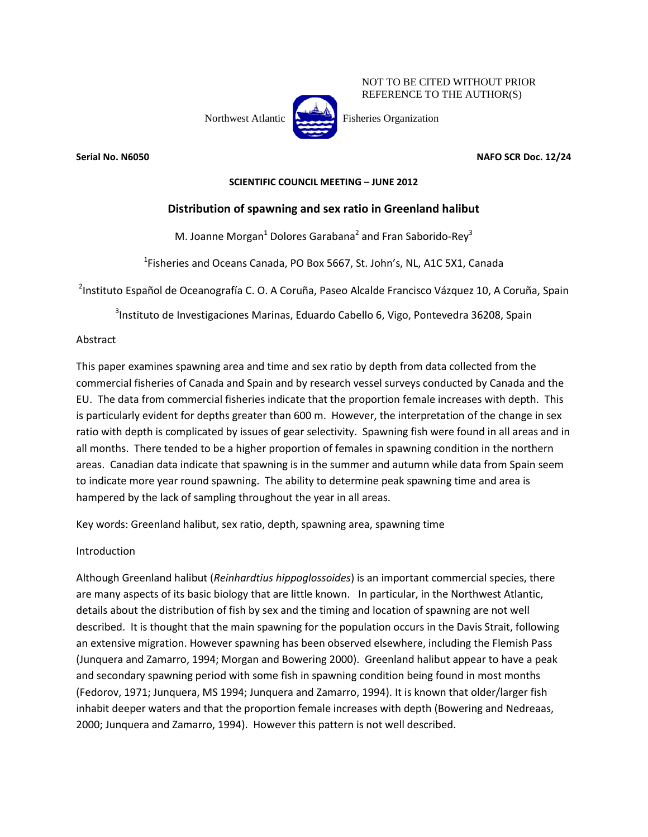

NOT TO BE CITED WITHOUT PRIOR REFERENCE TO THE AUTHOR(S)

**Serial No. N6050 NAFO SCR Doc. 12/24**

## **SCIENTIFIC COUNCIL MEETING – JUNE 2012**

# **Distribution of spawning and sex ratio in Greenland halibut**

M. Joanne Morgan<sup>1</sup> Dolores Garabana<sup>2</sup> and Fran Saborido-Rey<sup>3</sup>

<sup>1</sup>Fisheries and Oceans Canada, PO Box 5667, St. John's, NL, A1C 5X1, Canada

<sup>2</sup>Instituto Español de Oceanografía C. O. A Coruña, Paseo Alcalde Francisco Vázquez 10, A Coruña, Spain

<sup>3</sup>Instituto de Investigaciones Marinas, Eduardo Cabello 6, Vigo, Pontevedra 36208, Spain

## Abstract

This paper examines spawning area and time and sex ratio by depth from data collected from the commercial fisheries of Canada and Spain and by research vessel surveys conducted by Canada and the EU. The data from commercial fisheries indicate that the proportion female increases with depth. This is particularly evident for depths greater than 600 m. However, the interpretation of the change in sex ratio with depth is complicated by issues of gear selectivity. Spawning fish were found in all areas and in all months. There tended to be a higher proportion of females in spawning condition in the northern areas. Canadian data indicate that spawning is in the summer and autumn while data from Spain seem to indicate more year round spawning. The ability to determine peak spawning time and area is hampered by the lack of sampling throughout the year in all areas.

Key words: Greenland halibut, sex ratio, depth, spawning area, spawning time

# Introduction

Although Greenland halibut (*Reinhardtius hippoglossoides*) is an important commercial species, there are many aspects of its basic biology that are little known. In particular, in the Northwest Atlantic, details about the distribution of fish by sex and the timing and location of spawning are not well described. It is thought that the main spawning for the population occurs in the Davis Strait, following an extensive migration. However spawning has been observed elsewhere, including the Flemish Pass (Junquera and Zamarro, 1994; Morgan and Bowering 2000). Greenland halibut appear to have a peak and secondary spawning period with some fish in spawning condition being found in most months (Fedorov, 1971; Junquera, MS 1994; Junquera and Zamarro, 1994). It is known that older/larger fish inhabit deeper waters and that the proportion female increases with depth (Bowering and Nedreaas, 2000; Junquera and Zamarro, 1994). However this pattern is not well described.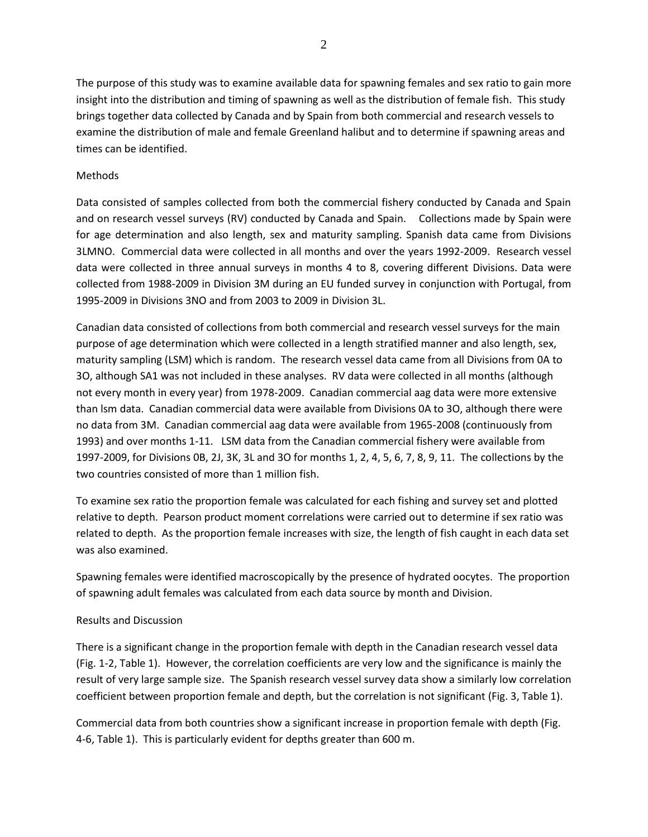The purpose of this study was to examine available data for spawning females and sex ratio to gain more insight into the distribution and timing of spawning as well as the distribution of female fish. This study brings together data collected by Canada and by Spain from both commercial and research vessels to examine the distribution of male and female Greenland halibut and to determine if spawning areas and times can be identified.

### Methods

Data consisted of samples collected from both the commercial fishery conducted by Canada and Spain and on research vessel surveys (RV) conducted by Canada and Spain. Collections made by Spain were for age determination and also length, sex and maturity sampling. Spanish data came from Divisions 3LMNO. Commercial data were collected in all months and over the years 1992-2009. Research vessel data were collected in three annual surveys in months 4 to 8, covering different Divisions. Data were collected from 1988-2009 in Division 3M during an EU funded survey in conjunction with Portugal, from 1995-2009 in Divisions 3NO and from 2003 to 2009 in Division 3L.

Canadian data consisted of collections from both commercial and research vessel surveys for the main purpose of age determination which were collected in a length stratified manner and also length, sex, maturity sampling (LSM) which is random. The research vessel data came from all Divisions from 0A to 3O, although SA1 was not included in these analyses. RV data were collected in all months (although not every month in every year) from 1978-2009. Canadian commercial aag data were more extensive than lsm data. Canadian commercial data were available from Divisions 0A to 3O, although there were no data from 3M. Canadian commercial aag data were available from 1965-2008 (continuously from 1993) and over months 1-11. LSM data from the Canadian commercial fishery were available from 1997-2009, for Divisions 0B, 2J, 3K, 3L and 3O for months 1, 2, 4, 5, 6, 7, 8, 9, 11. The collections by the two countries consisted of more than 1 million fish.

To examine sex ratio the proportion female was calculated for each fishing and survey set and plotted relative to depth. Pearson product moment correlations were carried out to determine if sex ratio was related to depth. As the proportion female increases with size, the length of fish caught in each data set was also examined.

Spawning females were identified macroscopically by the presence of hydrated oocytes. The proportion of spawning adult females was calculated from each data source by month and Division.

### Results and Discussion

There is a significant change in the proportion female with depth in the Canadian research vessel data (Fig. 1-2, Table 1). However, the correlation coefficients are very low and the significance is mainly the result of very large sample size. The Spanish research vessel survey data show a similarly low correlation coefficient between proportion female and depth, but the correlation is not significant (Fig. 3, Table 1).

Commercial data from both countries show a significant increase in proportion female with depth (Fig. 4-6, Table 1). This is particularly evident for depths greater than 600 m.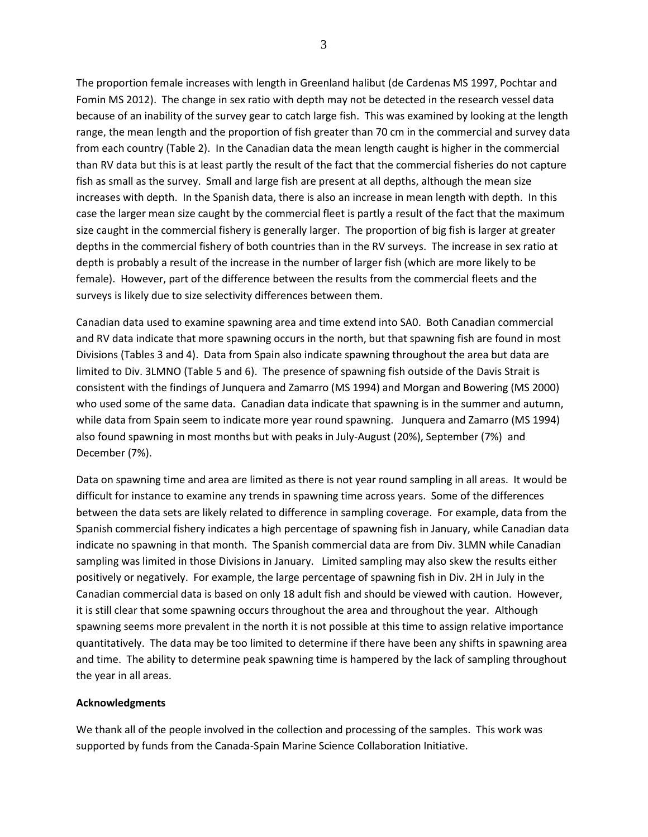The proportion female increases with length in Greenland halibut (de Cardenas MS 1997, Pochtar and Fomin MS 2012). The change in sex ratio with depth may not be detected in the research vessel data because of an inability of the survey gear to catch large fish. This was examined by looking at the length range, the mean length and the proportion of fish greater than 70 cm in the commercial and survey data from each country (Table 2). In the Canadian data the mean length caught is higher in the commercial than RV data but this is at least partly the result of the fact that the commercial fisheries do not capture fish as small as the survey. Small and large fish are present at all depths, although the mean size increases with depth. In the Spanish data, there is also an increase in mean length with depth. In this case the larger mean size caught by the commercial fleet is partly a result of the fact that the maximum size caught in the commercial fishery is generally larger. The proportion of big fish is larger at greater depths in the commercial fishery of both countries than in the RV surveys. The increase in sex ratio at depth is probably a result of the increase in the number of larger fish (which are more likely to be female). However, part of the difference between the results from the commercial fleets and the surveys is likely due to size selectivity differences between them.

Canadian data used to examine spawning area and time extend into SA0. Both Canadian commercial and RV data indicate that more spawning occurs in the north, but that spawning fish are found in most Divisions (Tables 3 and 4). Data from Spain also indicate spawning throughout the area but data are limited to Div. 3LMNO (Table 5 and 6). The presence of spawning fish outside of the Davis Strait is consistent with the findings of Junquera and Zamarro (MS 1994) and Morgan and Bowering (MS 2000) who used some of the same data. Canadian data indicate that spawning is in the summer and autumn, while data from Spain seem to indicate more year round spawning. Junquera and Zamarro (MS 1994) also found spawning in most months but with peaks in July-August (20%), September (7%) and December (7%).

Data on spawning time and area are limited as there is not year round sampling in all areas. It would be difficult for instance to examine any trends in spawning time across years. Some of the differences between the data sets are likely related to difference in sampling coverage. For example, data from the Spanish commercial fishery indicates a high percentage of spawning fish in January, while Canadian data indicate no spawning in that month. The Spanish commercial data are from Div. 3LMN while Canadian sampling was limited in those Divisions in January. Limited sampling may also skew the results either positively or negatively. For example, the large percentage of spawning fish in Div. 2H in July in the Canadian commercial data is based on only 18 adult fish and should be viewed with caution. However, it is still clear that some spawning occurs throughout the area and throughout the year. Although spawning seems more prevalent in the north it is not possible at this time to assign relative importance quantitatively. The data may be too limited to determine if there have been any shifts in spawning area and time. The ability to determine peak spawning time is hampered by the lack of sampling throughout the year in all areas.

#### **Acknowledgments**

We thank all of the people involved in the collection and processing of the samples. This work was supported by funds from the Canada-Spain Marine Science Collaboration Initiative.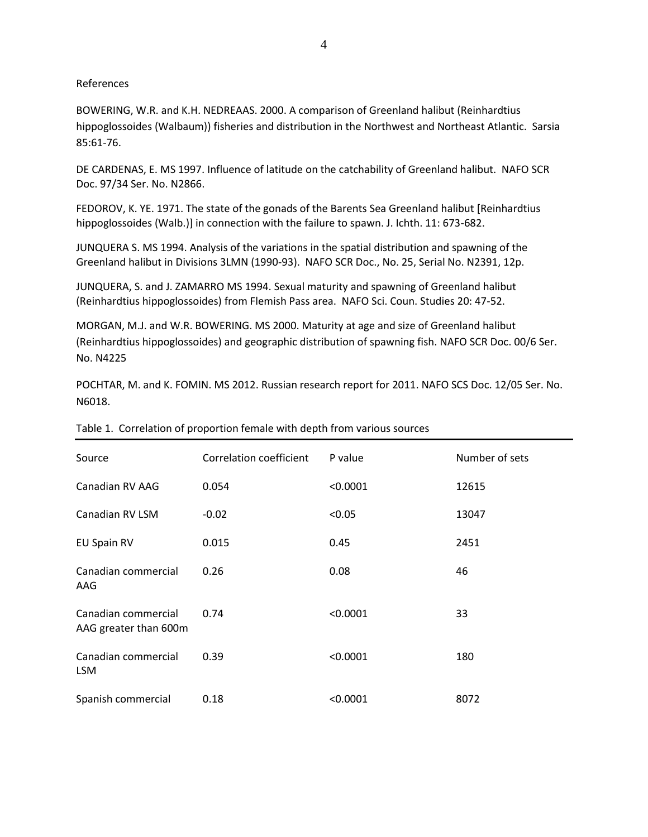#### References

BOWERING, W.R. and K.H. NEDREAAS. 2000. A comparison of Greenland halibut (Reinhardtius hippoglossoides (Walbaum)) fisheries and distribution in the Northwest and Northeast Atlantic. Sarsia 85:61-76.

DE CARDENAS, E. MS 1997. Influence of latitude on the catchability of Greenland halibut. NAFO SCR Doc. 97/34 Ser. No. N2866.

FEDOROV, K. YE. 1971. The state of the gonads of the Barents Sea Greenland halibut [Reinhardtius hippoglossoides (Walb.)] in connection with the failure to spawn. J. Ichth. 11: 673-682.

JUNQUERA S. MS 1994. Analysis of the variations in the spatial distribution and spawning of the Greenland halibut in Divisions 3LMN (1990-93). NAFO SCR Doc., No. 25, Serial No. N2391, 12p.

JUNQUERA, S. and J. ZAMARRO MS 1994. Sexual maturity and spawning of Greenland halibut (Reinhardtius hippoglossoides) from Flemish Pass area. NAFO Sci. Coun. Studies 20: 47-52.

MORGAN, M.J. and W.R. BOWERING. MS 2000. Maturity at age and size of Greenland halibut (Reinhardtius hippoglossoides) and geographic distribution of spawning fish. NAFO SCR Doc. 00/6 Ser. No. N4225

POCHTAR, M. and K. FOMIN. MS 2012. Russian research report for 2011. NAFO SCS Doc. 12/05 Ser. No. N6018.

| Source                                       | Correlation coefficient | P value  | Number of sets |
|----------------------------------------------|-------------------------|----------|----------------|
| Canadian RV AAG                              | 0.054                   | < 0.0001 | 12615          |
| Canadian RV LSM                              | $-0.02$                 | < 0.05   | 13047          |
| <b>EU Spain RV</b>                           | 0.015                   | 0.45     | 2451           |
| Canadian commercial<br>AAG                   | 0.26                    | 0.08     | 46             |
| Canadian commercial<br>AAG greater than 600m | 0.74                    | < 0.0001 | 33             |
| Canadian commercial<br><b>LSM</b>            | 0.39                    | < 0.0001 | 180            |
| Spanish commercial                           | 0.18                    | < 0.0001 | 8072           |

### Table 1. Correlation of proportion female with depth from various sources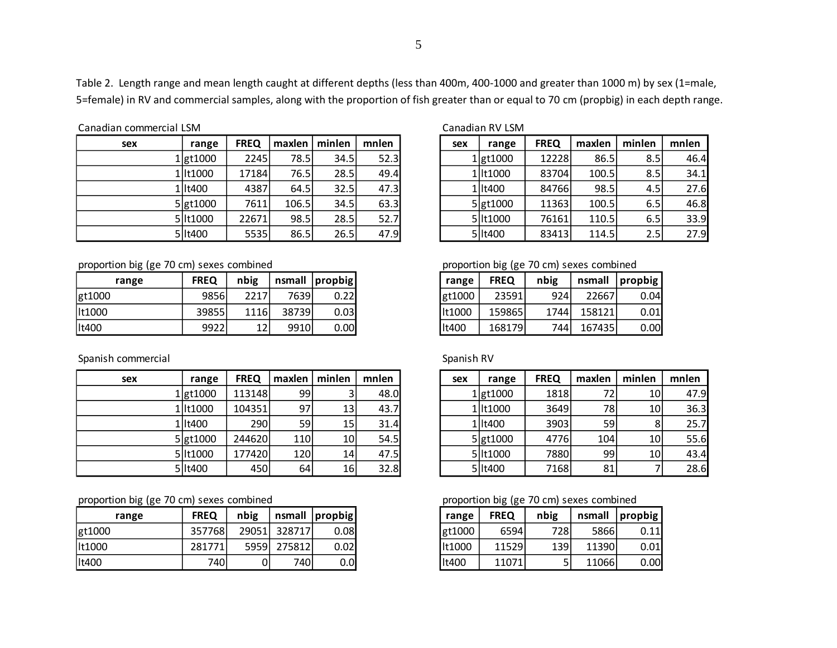5

Table 2. Length range and mean length caught at different depths (less than 400m, 400-1000 and greater than 1000 m) by sex (1=male, 5=female) in RV and commercial samples, along with the proportion of fish greater than or equal to 70 cm (propbig) in each depth range.

#### Canadian commercial LSM Canadian RV LSM

| sex | range         | <b>FREQ</b> | maxlen | minlen | mnlen | sex | range         | <b>FREQ</b> | maxlen | minlen           | mnlen |
|-----|---------------|-------------|--------|--------|-------|-----|---------------|-------------|--------|------------------|-------|
|     | $1$ gt $1000$ | 2245        | 78.5   | 34.5   | 52.3  |     | $1$ gt $1000$ | 12228       | 86.5   | 8.5              | 46.   |
|     | 1 lt1000      | 17184       | 76.5   | 28.5   | 49.4  |     | 1 lt1000      | 83704       | 100.5  | 8.5              | 34.   |
|     | 1 llt400      | 4387        | 64.5   | 32.5   | 47.3  |     | 1 lt400       | 84766       | 98.5   | $4.5^{\circ}$    | 27.   |
|     | $5$ gt1000    | 7611        | 106.5  | 34.5   | 63.3  |     | $5$ gt $1000$ | 11363       | 100.5  | 6.5              | 46.   |
|     | 5 It 1000     | 22671       | 98.5   | 28.5   | 52.7  |     | 5 lt1000      | 76161       | 110.5  | 6.5              | 33.   |
|     | 5 It 400      | 5535        | 86.5   | 26.5   | 47.9  |     | 5 It400       | 83413       | 114.5  | 2.5 <sub>l</sub> | 27.   |

| ועוכ∟ ו   |             |        |        |       |     | Calidulali NV LJIVI  |             |        |        |       |
|-----------|-------------|--------|--------|-------|-----|----------------------|-------------|--------|--------|-------|
| range     | <b>FREQ</b> | maxlen | minlen | mnlen | sex | range                | <b>FREQ</b> | maxlen | minlen | mnlen |
| 1 gt1000  | 2245        | 78.5   | 34.5   | 52.3  |     | 1 gt 1000            | 12228       | 86.5   | 8.5    | 46.4  |
| 1 lt1000  | 17184       | 76.5   | 28.5   | 49.4  |     | 1 lt1000             | 83704       | 100.5  | 8.5    | 34.1  |
| 1 lt400   | 4387        | 64.5   | 32.5   | 47.3  |     | 1 lt400              | 84766       | 98.5   | 4.5    | 27.6  |
| 5 gt 1000 | 7611        | 106.5  | 34.5   | 63.3  |     | 5 gt <sub>1000</sub> | 11363       | 100.5  | 6.5    | 46.8  |
| 5 llt1000 | 22671       | 98.5   | 28.5   | 52.7  |     | 5 lt1000             | 76161       | 110.5  | 6.5    | 33.9  |
| 5 lt400   | 5535        | 86.5   | 26.5   | 47.9  |     | 5 lt400              | 83413       | 114.5  | 2.5    | 27.9  |

proportion big (ge 70 cm) sexes combined

| range | <b>FREQ</b> | nbig | nsmall | $ $ propbig |
|-------|-------------|------|--------|-------------|
|       | 9856        | 2217 | 7639   | 0.22        |
|       | 39855       | 1116 | 38739  | 0.03        |
|       | 9922        | 12   | 9910   | $0.00\,$    |

# Spanish commercial Spanish RV

| sex | range         | <b>FREQ</b> | maxlen | minlen | mnlen | sex | range           | <b>FREQ</b> | maxlen | minlen | mnlen |
|-----|---------------|-------------|--------|--------|-------|-----|-----------------|-------------|--------|--------|-------|
|     | $1$ gt $1000$ | 113148      | 99     |        | 48.0  |     | $1$ gt $1000$   | 1818        | 72     | 10l    | 47.   |
|     | 1 lt1000      | 104351      | 97     | 13     | 43.7  |     | 1 lt1000        | 3649        | 78     | 10I    | 36.   |
|     | 1 lt400       | <b>290</b>  | 59     | 15     | 31.4  |     | 1   It400       | 3903        | 59     | 8      | 25.   |
|     | $5$ gt1000    | 244620      | 1101   | 10     | 54.5  |     | $5\vert$ gt1000 | 4776        | 104    | 10     | 55.   |
|     | 5 It 1000     | 177420      | 120    | 14     | 47.5  |     | 5 It1000        | 7880        | 99     | 10     | 43.   |
|     | 5 lt400       | 450         | 64     | 16     | 32.8  |     | 5 lt400         | 7168        | 81     |        | 28.   |

proportion big (ge 70 cm) sexes combined proportion big (ge 70 cm) sexes combined

| range  | <b>FREQ</b> | nbig   |        | nsmall propbig | range  | <b>FREQ</b> | nbig | nsmall | propbig |
|--------|-------------|--------|--------|----------------|--------|-------------|------|--------|---------|
| gt1000 | 357768      | 290511 | 328717 | 0.08           | gt1000 | 6594        | 728  | 5866   | 0.11    |
| lt1000 | 281771      | 5959   | 275812 | 0.02           | It1000 | 11529       | 139  | 11390  | 0.01    |
| It400  | 740         |        | 740    | $0.0\,$        | lt400  | 11071       |      | 11066  | 0.00    |

| proportion big (ge 70 cm) sexes combined |  |  |  |  |  |
|------------------------------------------|--|--|--|--|--|
|------------------------------------------|--|--|--|--|--|

|        | .           |      |        |         |
|--------|-------------|------|--------|---------|
| range  | <b>FREQ</b> | nbig | nsmall | propbig |
| gt1000 | 23591       | 924  | 22667  | 0.04    |
| lt1000 | 159865      | 1744 | 158121 | 0.01    |
| lt400  | 168179      | 744  | 167435 | 0.00    |

| range     | <b>FREQ</b> | maxlen | minlen          | mnlen | sex | range         | <b>FREQ</b> | maxlen | minlen | mnlen |
|-----------|-------------|--------|-----------------|-------|-----|---------------|-------------|--------|--------|-------|
| 1 gt1000  | 113148      | 991    |                 | 48.0  |     | $1$ gt $1000$ | 1818l       |        | 10I    | 47.9  |
| 1 lt1000  | 104351      | 97     | 13              | 43.7  |     | 1 lt1000      | 3649        | 78     | 10     | 36.3  |
| 1 lt400   | 290         | 59     | 15              | 31.4  |     | 1 lt400       | 3903        | 59     | 8      | 25.7  |
| 5 gt1000  | 244620      | 110    | 10 <sup>1</sup> | 54.5  |     | $5$ gt1000    | 4776        | 104    | 10     | 55.6  |
| 5 llt1000 | 177420      | 120    | 14              | 47.5  |     | 5 lt1000      | 7880        | 99     | 10     | 43.4  |
| 5 lt400   | 450         | 64     | 16              | 32.8  |     | 5 lt400       | 7168        | 81     |        | 28.6  |

| range  | <b>FREQ</b> | nbig | nsmall | propbig |
|--------|-------------|------|--------|---------|
| gt1000 | 6594        | 728l | 5866   | 0.11    |
| lt1000 | 11529       | 139  | 11390  | 0.01    |
| lt400  | 11071       | 5    | 11066  | 0.00    |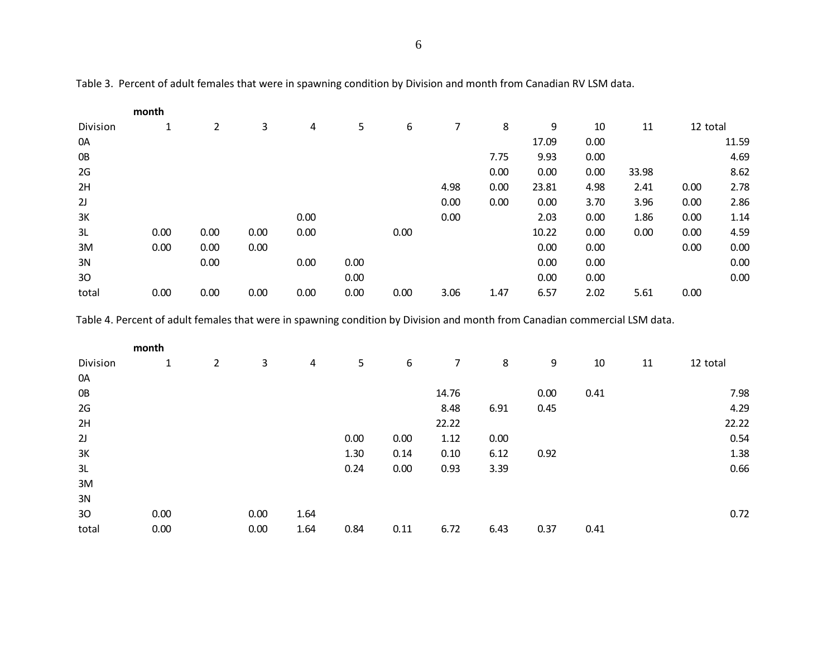6

|                 | month |      |      |      |      |      |      |      |       |      |       |          |       |
|-----------------|-------|------|------|------|------|------|------|------|-------|------|-------|----------|-------|
| Division        | 1     | 2    | 3    | 4    | 5    | 6    | 7    | 8    | 9     | 10   | 11    | 12 total |       |
| 0A              |       |      |      |      |      |      |      |      | 17.09 | 0.00 |       |          | 11.59 |
| 0B              |       |      |      |      |      |      |      | 7.75 | 9.93  | 0.00 |       |          | 4.69  |
| 2G              |       |      |      |      |      |      |      | 0.00 | 0.00  | 0.00 | 33.98 |          | 8.62  |
| 2H              |       |      |      |      |      |      | 4.98 | 0.00 | 23.81 | 4.98 | 2.41  | 0.00     | 2.78  |
| 2J              |       |      |      |      |      |      | 0.00 | 0.00 | 0.00  | 3.70 | 3.96  | 0.00     | 2.86  |
| 3K              |       |      |      | 0.00 |      |      | 0.00 |      | 2.03  | 0.00 | 1.86  | 0.00     | 1.14  |
| 3L              | 0.00  | 0.00 | 0.00 | 0.00 |      | 0.00 |      |      | 10.22 | 0.00 | 0.00  | 0.00     | 4.59  |
| 3M              | 0.00  | 0.00 | 0.00 |      |      |      |      |      | 0.00  | 0.00 |       | 0.00     | 0.00  |
| 3N              |       | 0.00 |      | 0.00 | 0.00 |      |      |      | 0.00  | 0.00 |       |          | 0.00  |
| 30 <sup>°</sup> |       |      |      |      | 0.00 |      |      |      | 0.00  | 0.00 |       |          | 0.00  |
| total           | 0.00  | 0.00 | 0.00 | 0.00 | 0.00 | 0.00 | 3.06 | 1.47 | 6.57  | 2.02 | 5.61  | 0.00     |       |

Table 3. Percent of adult females that were in spawning condition by Division and month from Canadian RV LSM data.

Table 4. Percent of adult females that were in spawning condition by Division and month from Canadian commercial LSM data.

|          | month |                |      |      |      |      |                |      |      |      |    |          |
|----------|-------|----------------|------|------|------|------|----------------|------|------|------|----|----------|
| Division | 1     | $\overline{2}$ | 3    | 4    | 5    | 6    | $\overline{7}$ | 8    | 9    | 10   | 11 | 12 total |
| 0A       |       |                |      |      |      |      |                |      |      |      |    |          |
| 0B       |       |                |      |      |      |      | 14.76          |      | 0.00 | 0.41 |    | 7.98     |
| 2G       |       |                |      |      |      |      | 8.48           | 6.91 | 0.45 |      |    | 4.29     |
| 2H       |       |                |      |      |      |      | 22.22          |      |      |      |    | 22.22    |
| 2J       |       |                |      |      | 0.00 | 0.00 | 1.12           | 0.00 |      |      |    | 0.54     |
| 3K       |       |                |      |      | 1.30 | 0.14 | 0.10           | 6.12 | 0.92 |      |    | 1.38     |
| 3L       |       |                |      |      | 0.24 | 0.00 | 0.93           | 3.39 |      |      |    | 0.66     |
| 3M       |       |                |      |      |      |      |                |      |      |      |    |          |
| 3N       |       |                |      |      |      |      |                |      |      |      |    |          |
| 30       | 0.00  |                | 0.00 | 1.64 |      |      |                |      |      |      |    | 0.72     |
| total    | 0.00  |                | 0.00 | 1.64 | 0.84 | 0.11 | 6.72           | 6.43 | 0.37 | 0.41 |    |          |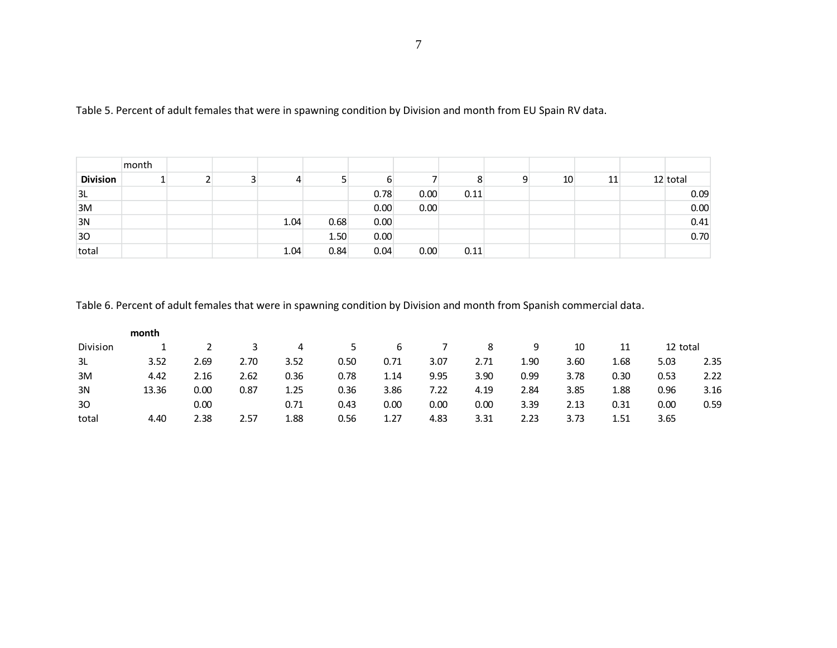|                 | month |  |      |      |      |      |      |    |    |            |
|-----------------|-------|--|------|------|------|------|------|----|----|------------|
| <b>Division</b> |       |  |      |      |      |      |      | 10 | 11 | $12$ total |
| 3L              |       |  |      |      | 0.78 | 0.00 | 0.11 |    |    | 0.09       |
| 3M              |       |  |      |      | 0.00 | 0.00 |      |    |    | 0.00       |
| 3N              |       |  | 1.04 | 0.68 | 0.00 |      |      |    |    | 0.41       |
| 30              |       |  |      | 1.50 | 0.00 |      |      |    |    | 0.70       |
| total           |       |  | 1.04 | 0.84 | 0.04 | 0.00 | 0.11 |    |    |            |

Table 5. Percent of adult females that were in spawning condition by Division and month from EU Spain RV data.

Table 6. Percent of adult females that were in spawning condition by Division and month from Spanish commercial data.

|          | month |      |      |      |      |      |      |      |      |      |      |          |      |
|----------|-------|------|------|------|------|------|------|------|------|------|------|----------|------|
| Division |       |      |      | 4    | 5.   | 6    |      | 8    | 9    | 10   | 11   | 12 total |      |
| 3L       | 3.52  | 2.69 | 2.70 | 3.52 | 0.50 | 0.71 | 3.07 | 2.71 | 1.90 | 3.60 | 1.68 | 5.03     | 2.35 |
| 3M       | 4.42  | 2.16 | 2.62 | 0.36 | 0.78 | 1.14 | 9.95 | 3.90 | 0.99 | 3.78 | 0.30 | 0.53     | 2.22 |
| 3N       | 13.36 | 0.00 | 0.87 | 1.25 | 0.36 | 3.86 | 7.22 | 4.19 | 2.84 | 3.85 | 1.88 | 0.96     | 3.16 |
| 30       |       | 0.00 |      | 0.71 | 0.43 | 0.00 | 0.00 | 0.00 | 3.39 | 2.13 | 0.31 | 0.00     | 0.59 |
| total    | 4.40  | 2.38 | 2.57 | 1.88 | 0.56 | 1.27 | 4.83 | 3.31 | 2.23 | 3.73 | 1.51 | 3.65     |      |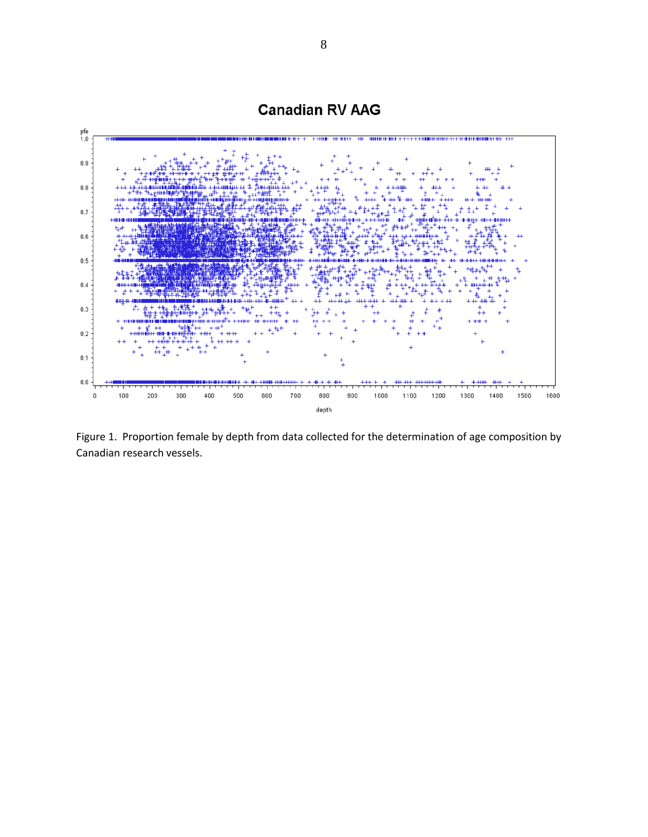

**Canadian RV AAG** 

Figure 1. Proportion female by depth from data collected for the determination of age composition by Canadian research vessels.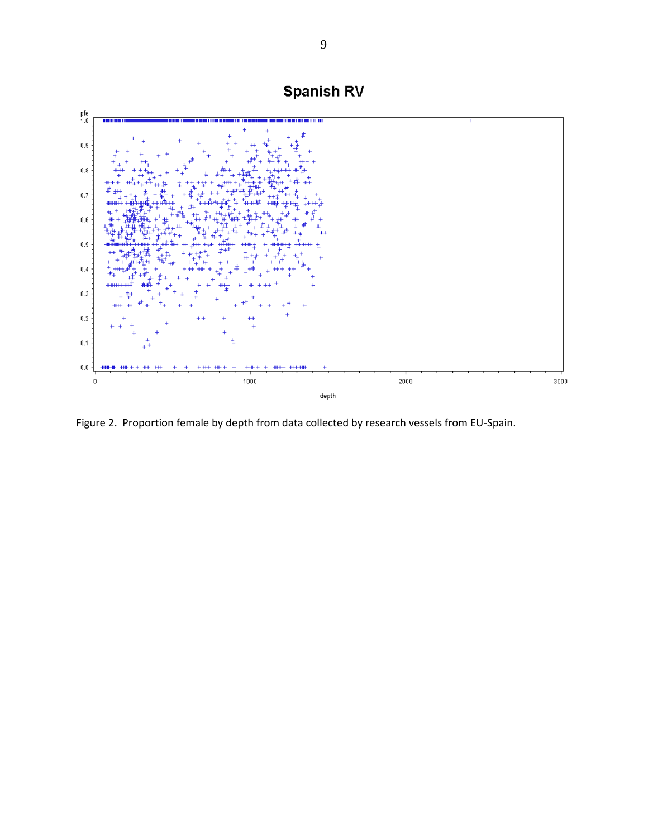

Figure 2. Proportion female by depth from data collected by research vessels from EU-Spain.

# Spanish RV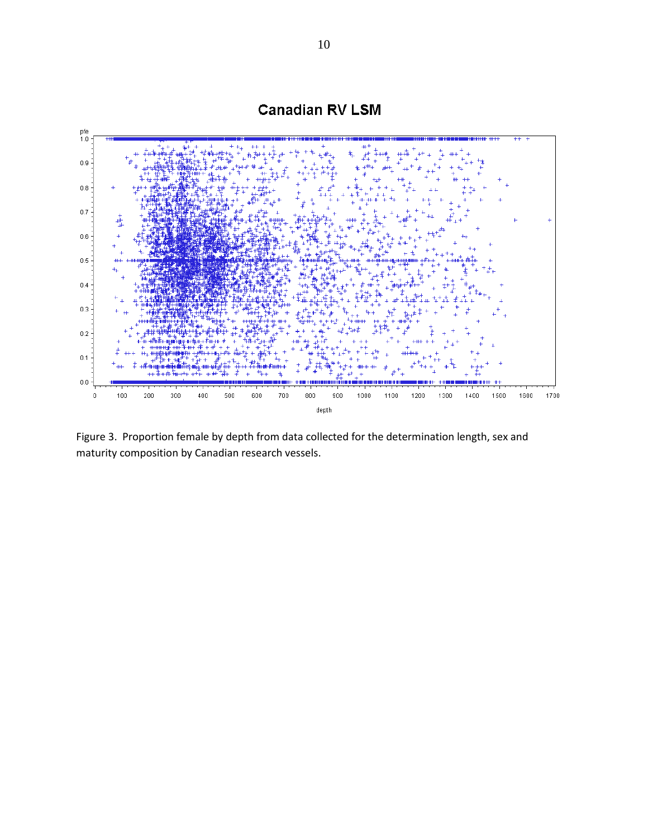

Figure 3. Proportion female by depth from data collected for the determination length, sex and maturity composition by Canadian research vessels.

**Canadian RV LSM**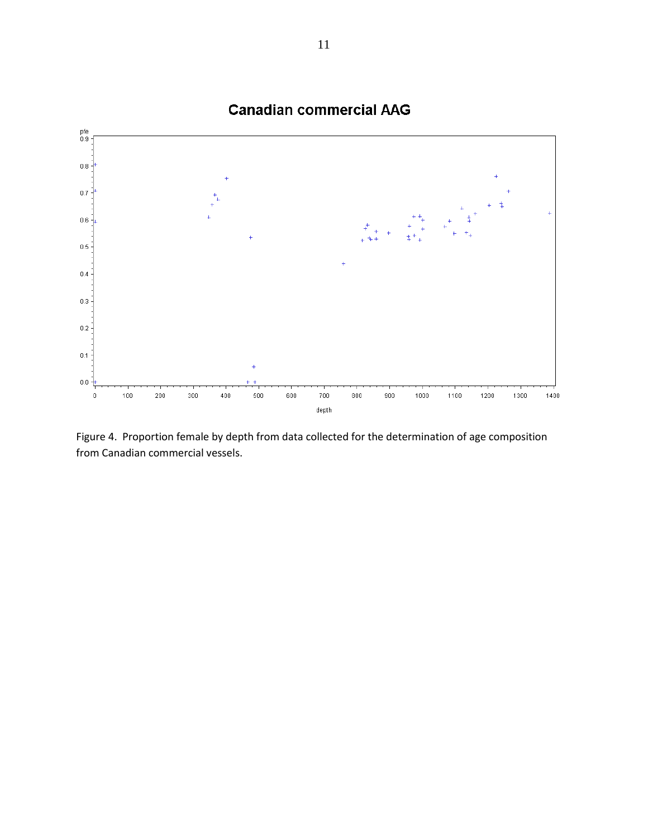

Figure 4. Proportion female by depth from data collected for the determination of age composition from Canadian commercial vessels.

**Canadian commercial AAG**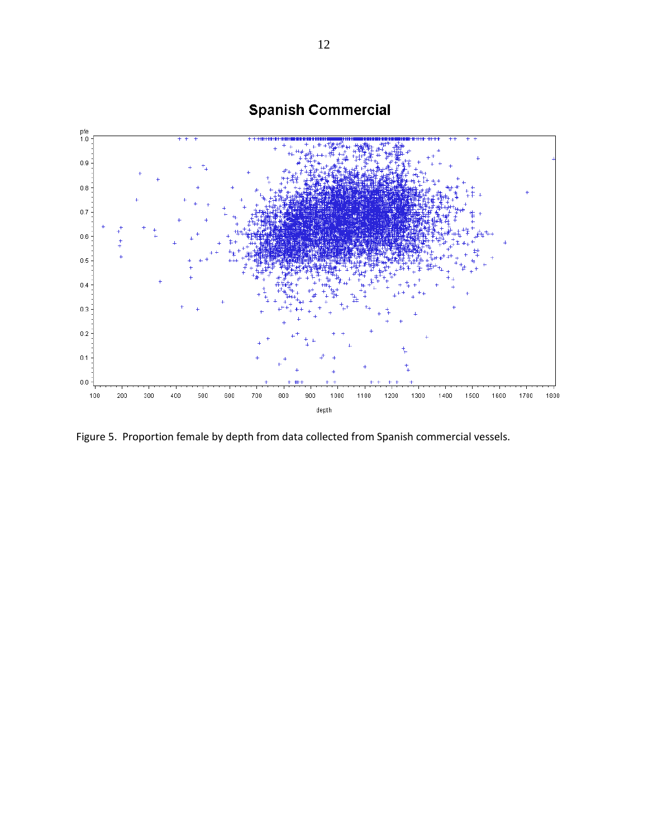

Figure 5. Proportion female by depth from data collected from Spanish commercial vessels.

# **Spanish Commercial**